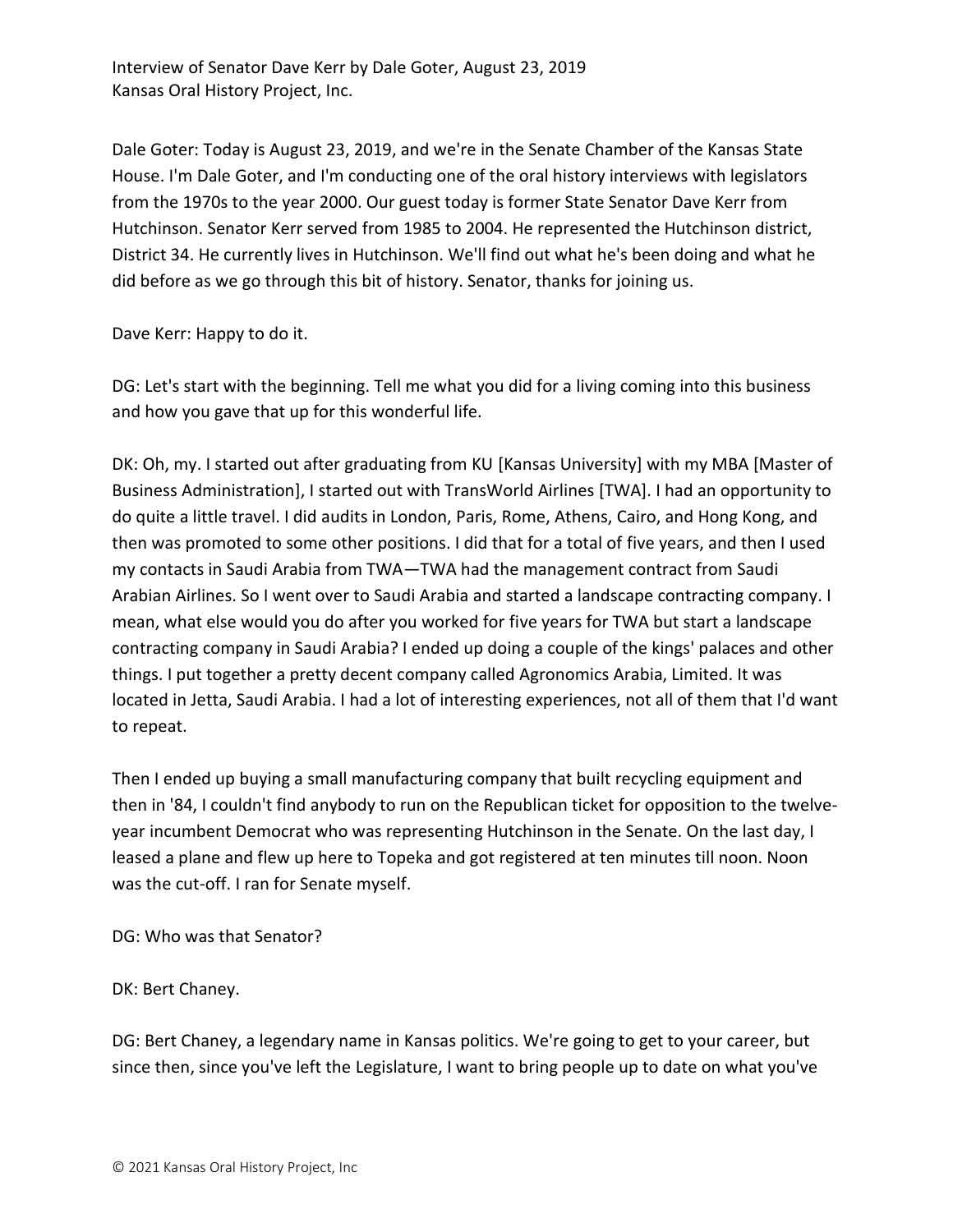Interview of Senator Dave Kerr by Dale Goter, August 23, 2019 Kansas Oral History Project, Inc.

Dale Goter: Today is August 23, 2019, and we're in the Senate Chamber of the Kansas State House. I'm Dale Goter, and I'm conducting one of the oral history interviews with legislators from the 1970s to the year 2000. Our guest today is former State Senator Dave Kerr from Hutchinson. Senator Kerr served from 1985 to 2004. He represented the Hutchinson district, District 34. He currently lives in Hutchinson. We'll find out what he's been doing and what he did before as we go through this bit of history. Senator, thanks for joining us.

Dave Kerr: Happy to do it.

DG: Let's start with the beginning. Tell me what you did for a living coming into this business and how you gave that up for this wonderful life.

DK: Oh, my. I started out after graduating from KU [Kansas University] with my MBA [Master of Business Administration], I started out with TransWorld Airlines [TWA]. I had an opportunity to do quite a little travel. I did audits in London, Paris, Rome, Athens, Cairo, and Hong Kong, and then was promoted to some other positions. I did that for a total of five years, and then I used my contacts in Saudi Arabia from TWA—TWA had the management contract from Saudi Arabian Airlines. So I went over to Saudi Arabia and started a landscape contracting company. I mean, what else would you do after you worked for five years for TWA but start a landscape contracting company in Saudi Arabia? I ended up doing a couple of the kings' palaces and other things. I put together a pretty decent company called Agronomics Arabia, Limited. It was located in Jetta, Saudi Arabia. I had a lot of interesting experiences, not all of them that I'd want to repeat.

Then I ended up buying a small manufacturing company that built recycling equipment and then in '84, I couldn't find anybody to run on the Republican ticket for opposition to the twelveyear incumbent Democrat who was representing Hutchinson in the Senate. On the last day, I leased a plane and flew up here to Topeka and got registered at ten minutes till noon. Noon was the cut-off. I ran for Senate myself.

DG: Who was that Senator?

DK: Bert Chaney.

DG: Bert Chaney, a legendary name in Kansas politics. We're going to get to your career, but since then, since you've left the Legislature, I want to bring people up to date on what you've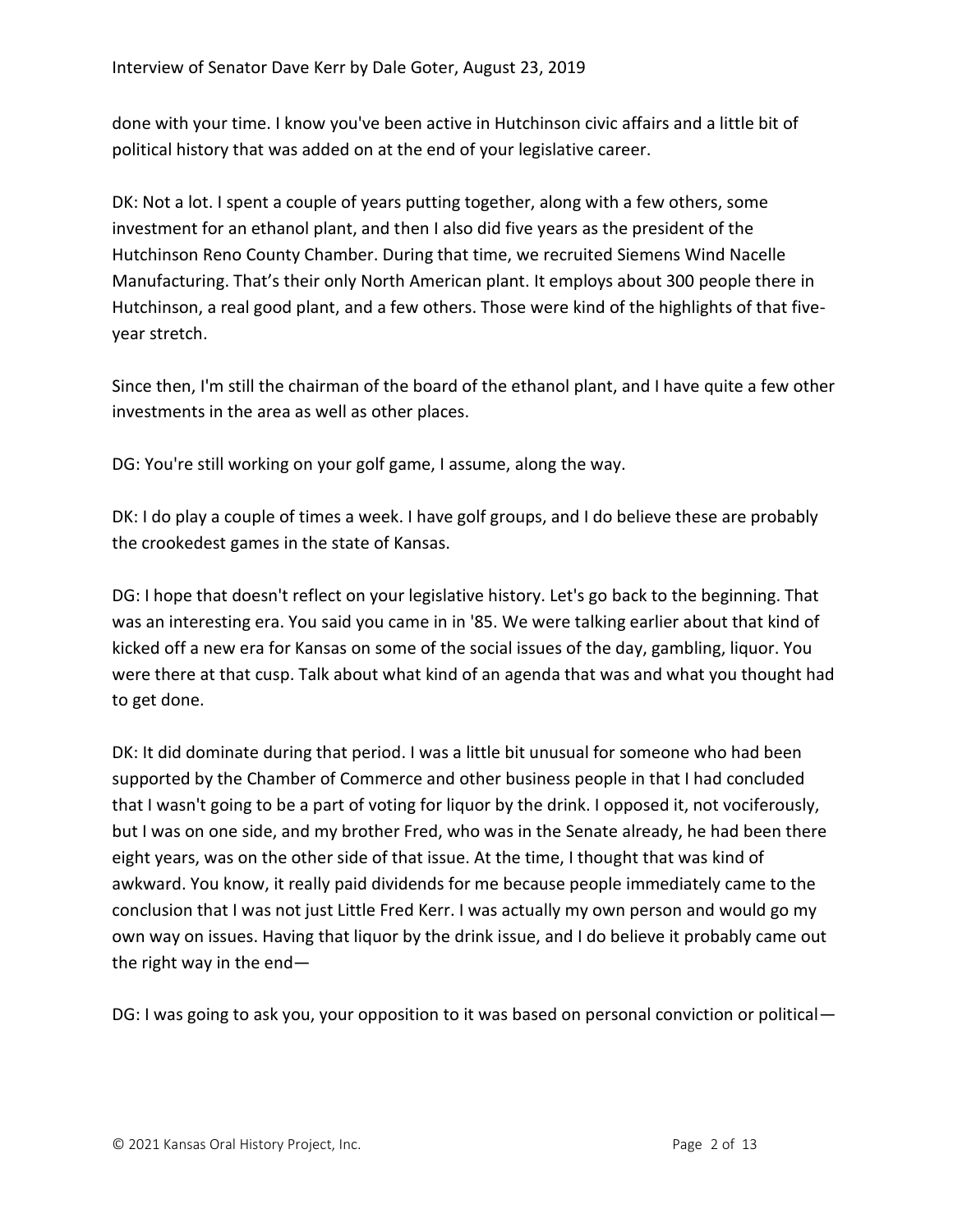done with your time. I know you've been active in Hutchinson civic affairs and a little bit of political history that was added on at the end of your legislative career.

DK: Not a lot. I spent a couple of years putting together, along with a few others, some investment for an ethanol plant, and then I also did five years as the president of the Hutchinson Reno County Chamber. During that time, we recruited Siemens Wind Nacelle Manufacturing. That's their only North American plant. It employs about 300 people there in Hutchinson, a real good plant, and a few others. Those were kind of the highlights of that fiveyear stretch.

Since then, I'm still the chairman of the board of the ethanol plant, and I have quite a few other investments in the area as well as other places.

DG: You're still working on your golf game, I assume, along the way.

DK: I do play a couple of times a week. I have golf groups, and I do believe these are probably the crookedest games in the state of Kansas.

DG: I hope that doesn't reflect on your legislative history. Let's go back to the beginning. That was an interesting era. You said you came in in '85. We were talking earlier about that kind of kicked off a new era for Kansas on some of the social issues of the day, gambling, liquor. You were there at that cusp. Talk about what kind of an agenda that was and what you thought had to get done.

DK: It did dominate during that period. I was a little bit unusual for someone who had been supported by the Chamber of Commerce and other business people in that I had concluded that I wasn't going to be a part of voting for liquor by the drink. I opposed it, not vociferously, but I was on one side, and my brother Fred, who was in the Senate already, he had been there eight years, was on the other side of that issue. At the time, I thought that was kind of awkward. You know, it really paid dividends for me because people immediately came to the conclusion that I was not just Little Fred Kerr. I was actually my own person and would go my own way on issues. Having that liquor by the drink issue, and I do believe it probably came out the right way in the end—

DG: I was going to ask you, your opposition to it was based on personal conviction or political—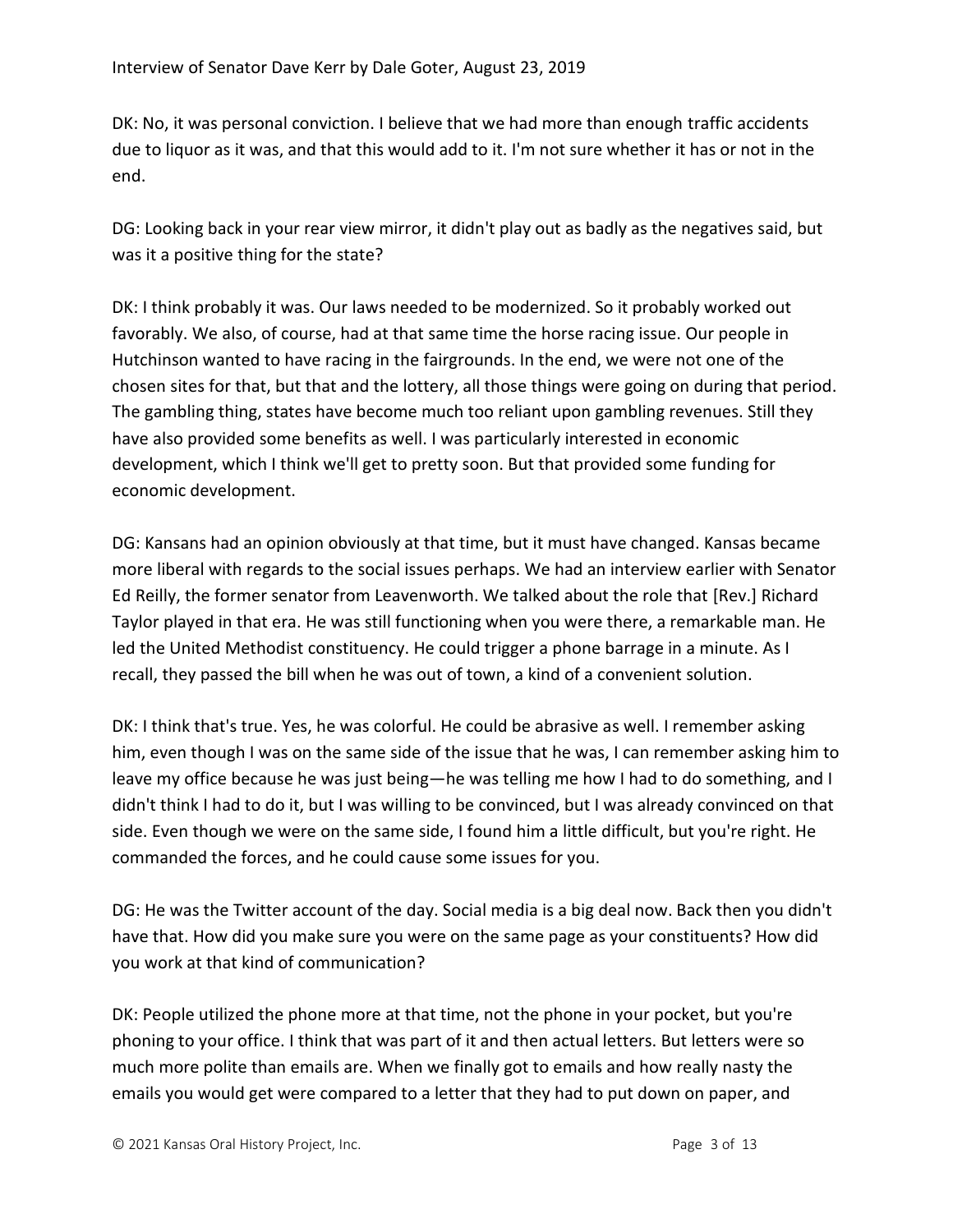DK: No, it was personal conviction. I believe that we had more than enough traffic accidents due to liquor as it was, and that this would add to it. I'm not sure whether it has or not in the end.

DG: Looking back in your rear view mirror, it didn't play out as badly as the negatives said, but was it a positive thing for the state?

DK: I think probably it was. Our laws needed to be modernized. So it probably worked out favorably. We also, of course, had at that same time the horse racing issue. Our people in Hutchinson wanted to have racing in the fairgrounds. In the end, we were not one of the chosen sites for that, but that and the lottery, all those things were going on during that period. The gambling thing, states have become much too reliant upon gambling revenues. Still they have also provided some benefits as well. I was particularly interested in economic development, which I think we'll get to pretty soon. But that provided some funding for economic development.

DG: Kansans had an opinion obviously at that time, but it must have changed. Kansas became more liberal with regards to the social issues perhaps. We had an interview earlier with Senator Ed Reilly, the former senator from Leavenworth. We talked about the role that [Rev.] Richard Taylor played in that era. He was still functioning when you were there, a remarkable man. He led the United Methodist constituency. He could trigger a phone barrage in a minute. As I recall, they passed the bill when he was out of town, a kind of a convenient solution.

DK: I think that's true. Yes, he was colorful. He could be abrasive as well. I remember asking him, even though I was on the same side of the issue that he was, I can remember asking him to leave my office because he was just being—he was telling me how I had to do something, and I didn't think I had to do it, but I was willing to be convinced, but I was already convinced on that side. Even though we were on the same side, I found him a little difficult, but you're right. He commanded the forces, and he could cause some issues for you.

DG: He was the Twitter account of the day. Social media is a big deal now. Back then you didn't have that. How did you make sure you were on the same page as your constituents? How did you work at that kind of communication?

DK: People utilized the phone more at that time, not the phone in your pocket, but you're phoning to your office. I think that was part of it and then actual letters. But letters were so much more polite than emails are. When we finally got to emails and how really nasty the emails you would get were compared to a letter that they had to put down on paper, and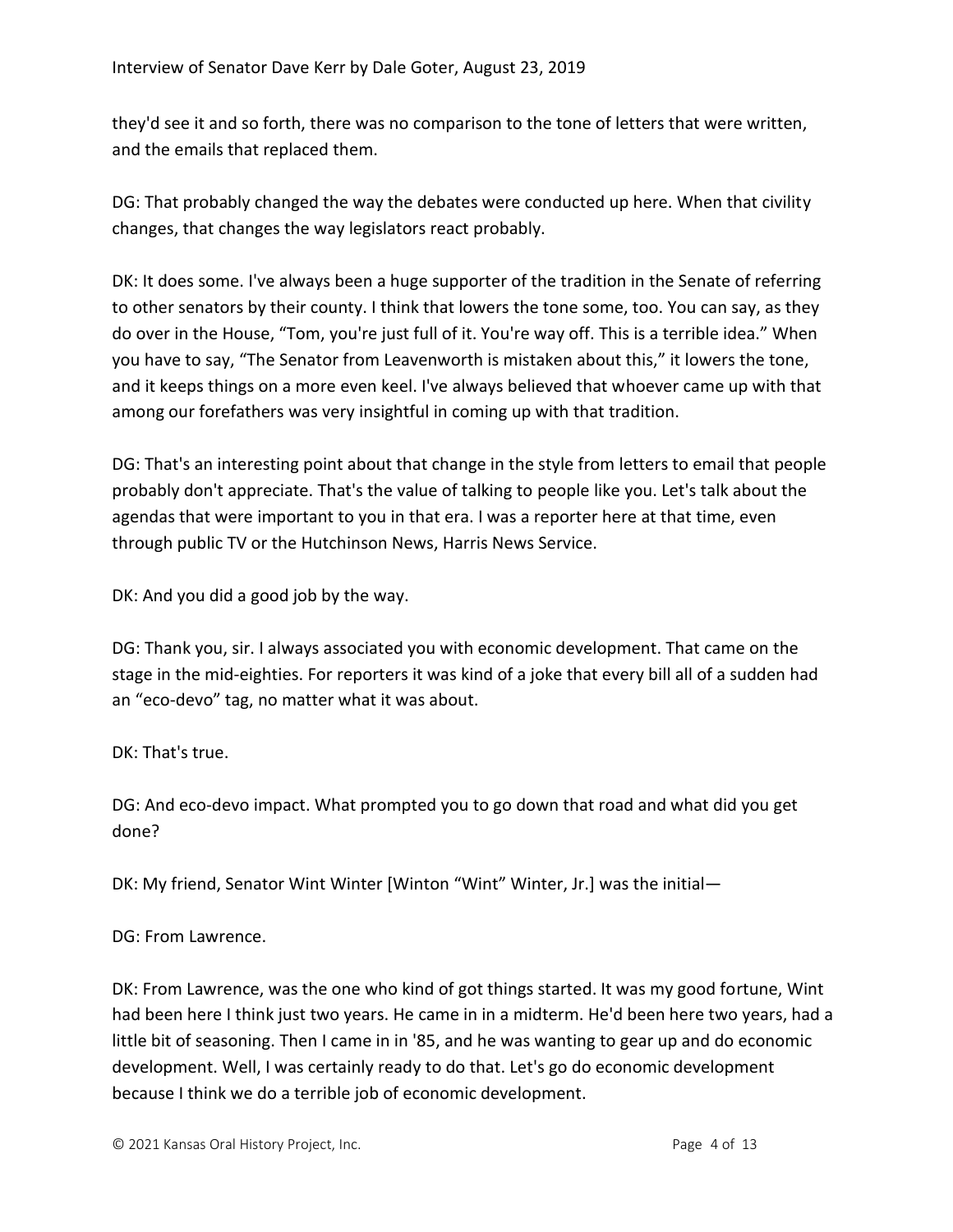they'd see it and so forth, there was no comparison to the tone of letters that were written, and the emails that replaced them.

DG: That probably changed the way the debates were conducted up here. When that civility changes, that changes the way legislators react probably.

DK: It does some. I've always been a huge supporter of the tradition in the Senate of referring to other senators by their county. I think that lowers the tone some, too. You can say, as they do over in the House, "Tom, you're just full of it. You're way off. This is a terrible idea." When you have to say, "The Senator from Leavenworth is mistaken about this," it lowers the tone, and it keeps things on a more even keel. I've always believed that whoever came up with that among our forefathers was very insightful in coming up with that tradition.

DG: That's an interesting point about that change in the style from letters to email that people probably don't appreciate. That's the value of talking to people like you. Let's talk about the agendas that were important to you in that era. I was a reporter here at that time, even through public TV or the Hutchinson News, Harris News Service.

DK: And you did a good job by the way.

DG: Thank you, sir. I always associated you with economic development. That came on the stage in the mid-eighties. For reporters it was kind of a joke that every bill all of a sudden had an "eco-devo" tag, no matter what it was about.

DK: That's true.

DG: And eco-devo impact. What prompted you to go down that road and what did you get done?

DK: My friend, Senator Wint Winter [Winton "Wint" Winter, Jr.] was the initial—

DG: From Lawrence.

DK: From Lawrence, was the one who kind of got things started. It was my good fortune, Wint had been here I think just two years. He came in in a midterm. He'd been here two years, had a little bit of seasoning. Then I came in in '85, and he was wanting to gear up and do economic development. Well, I was certainly ready to do that. Let's go do economic development because I think we do a terrible job of economic development.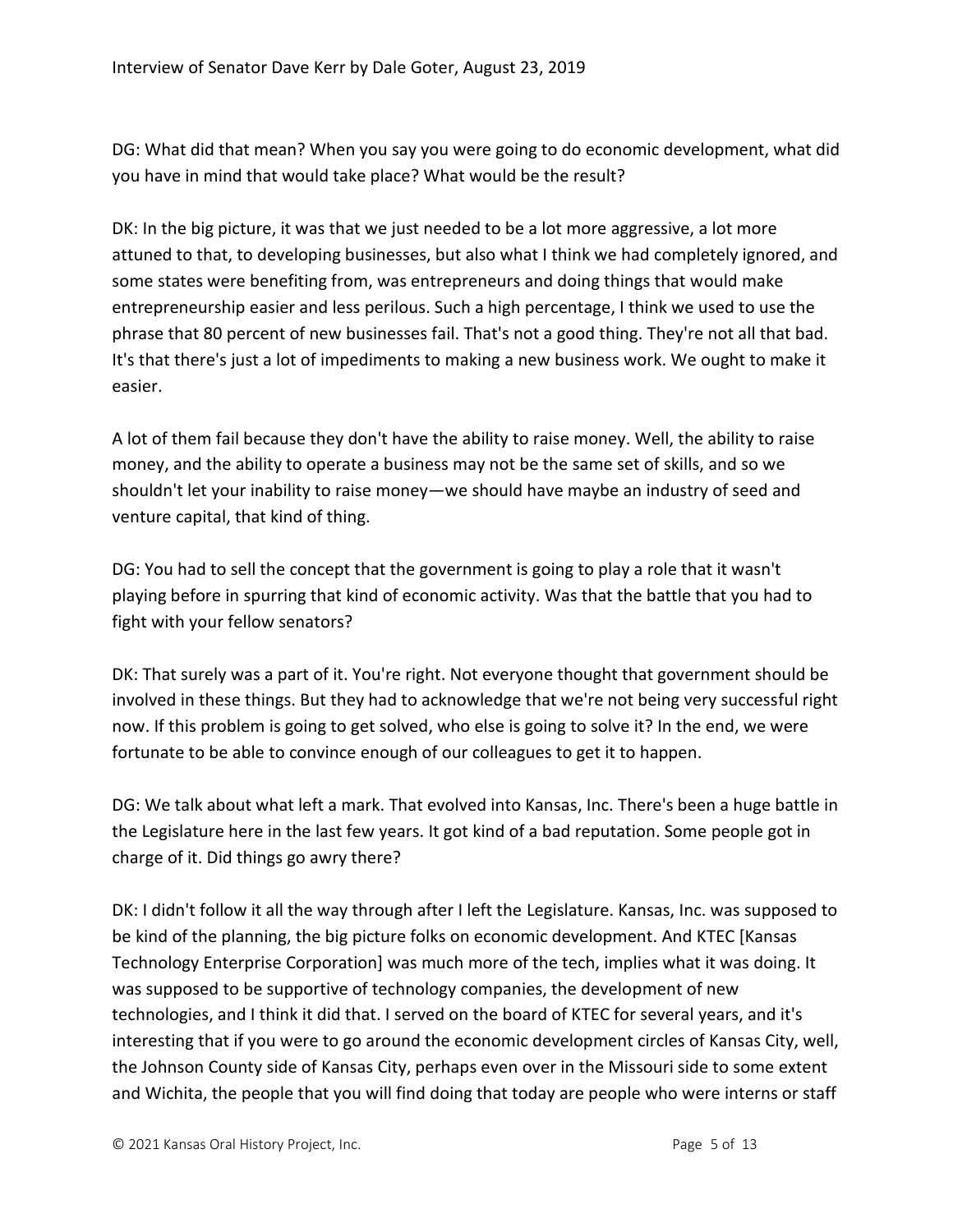DG: What did that mean? When you say you were going to do economic development, what did you have in mind that would take place? What would be the result?

DK: In the big picture, it was that we just needed to be a lot more aggressive, a lot more attuned to that, to developing businesses, but also what I think we had completely ignored, and some states were benefiting from, was entrepreneurs and doing things that would make entrepreneurship easier and less perilous. Such a high percentage, I think we used to use the phrase that 80 percent of new businesses fail. That's not a good thing. They're not all that bad. It's that there's just a lot of impediments to making a new business work. We ought to make it easier.

A lot of them fail because they don't have the ability to raise money. Well, the ability to raise money, and the ability to operate a business may not be the same set of skills, and so we shouldn't let your inability to raise money—we should have maybe an industry of seed and venture capital, that kind of thing.

DG: You had to sell the concept that the government is going to play a role that it wasn't playing before in spurring that kind of economic activity. Was that the battle that you had to fight with your fellow senators?

DK: That surely was a part of it. You're right. Not everyone thought that government should be involved in these things. But they had to acknowledge that we're not being very successful right now. If this problem is going to get solved, who else is going to solve it? In the end, we were fortunate to be able to convince enough of our colleagues to get it to happen.

DG: We talk about what left a mark. That evolved into Kansas, Inc. There's been a huge battle in the Legislature here in the last few years. It got kind of a bad reputation. Some people got in charge of it. Did things go awry there?

DK: I didn't follow it all the way through after I left the Legislature. Kansas, Inc. was supposed to be kind of the planning, the big picture folks on economic development. And KTEC [Kansas Technology Enterprise Corporation] was much more of the tech, implies what it was doing. It was supposed to be supportive of technology companies, the development of new technologies, and I think it did that. I served on the board of KTEC for several years, and it's interesting that if you were to go around the economic development circles of Kansas City, well, the Johnson County side of Kansas City, perhaps even over in the Missouri side to some extent and Wichita, the people that you will find doing that today are people who were interns or staff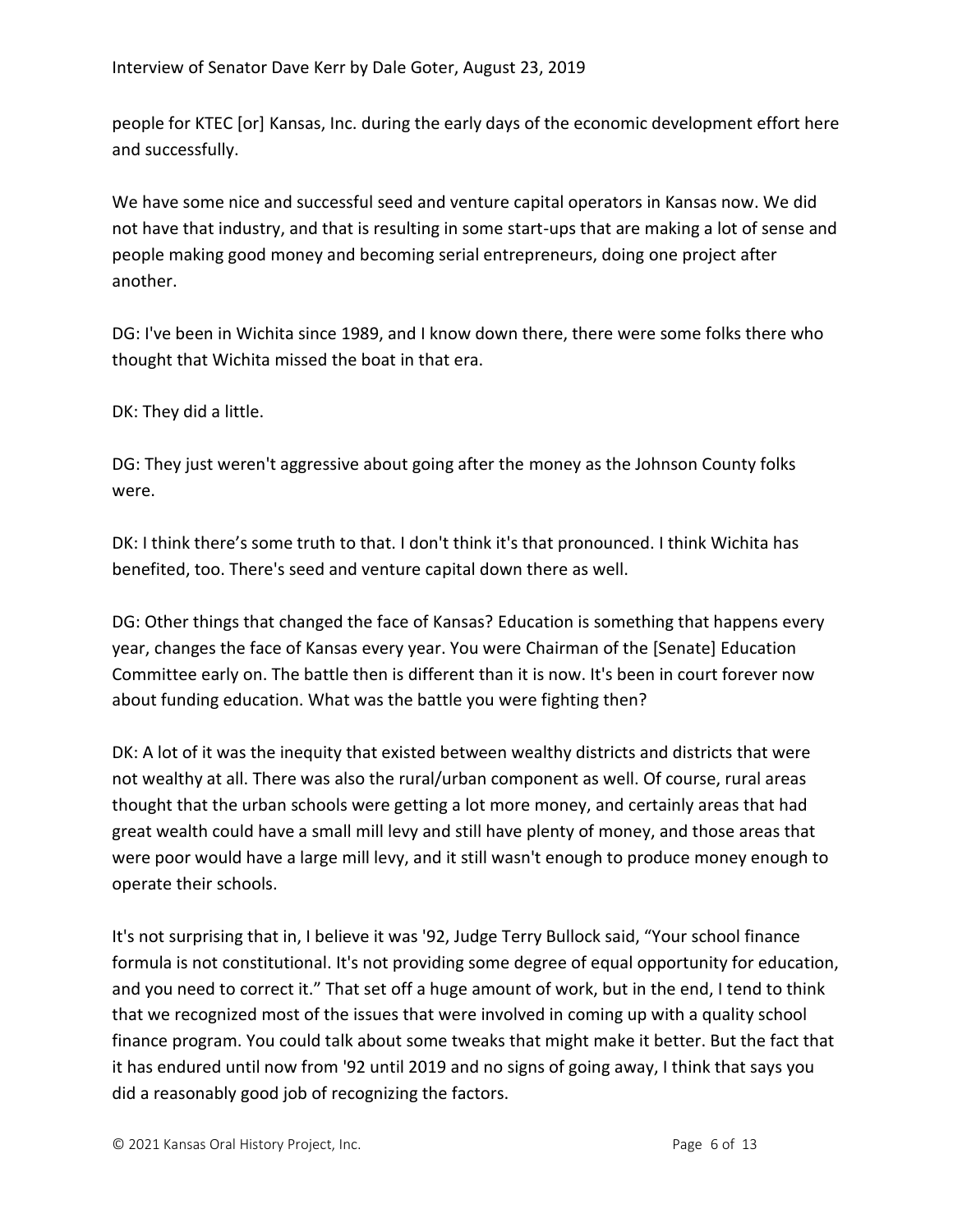people for KTEC [or] Kansas, Inc. during the early days of the economic development effort here and successfully.

We have some nice and successful seed and venture capital operators in Kansas now. We did not have that industry, and that is resulting in some start-ups that are making a lot of sense and people making good money and becoming serial entrepreneurs, doing one project after another.

DG: I've been in Wichita since 1989, and I know down there, there were some folks there who thought that Wichita missed the boat in that era.

DK: They did a little.

DG: They just weren't aggressive about going after the money as the Johnson County folks were.

DK: I think there's some truth to that. I don't think it's that pronounced. I think Wichita has benefited, too. There's seed and venture capital down there as well.

DG: Other things that changed the face of Kansas? Education is something that happens every year, changes the face of Kansas every year. You were Chairman of the [Senate] Education Committee early on. The battle then is different than it is now. It's been in court forever now about funding education. What was the battle you were fighting then?

DK: A lot of it was the inequity that existed between wealthy districts and districts that were not wealthy at all. There was also the rural/urban component as well. Of course, rural areas thought that the urban schools were getting a lot more money, and certainly areas that had great wealth could have a small mill levy and still have plenty of money, and those areas that were poor would have a large mill levy, and it still wasn't enough to produce money enough to operate their schools.

It's not surprising that in, I believe it was '92, Judge Terry Bullock said, "Your school finance formula is not constitutional. It's not providing some degree of equal opportunity for education, and you need to correct it." That set off a huge amount of work, but in the end, I tend to think that we recognized most of the issues that were involved in coming up with a quality school finance program. You could talk about some tweaks that might make it better. But the fact that it has endured until now from '92 until 2019 and no signs of going away, I think that says you did a reasonably good job of recognizing the factors.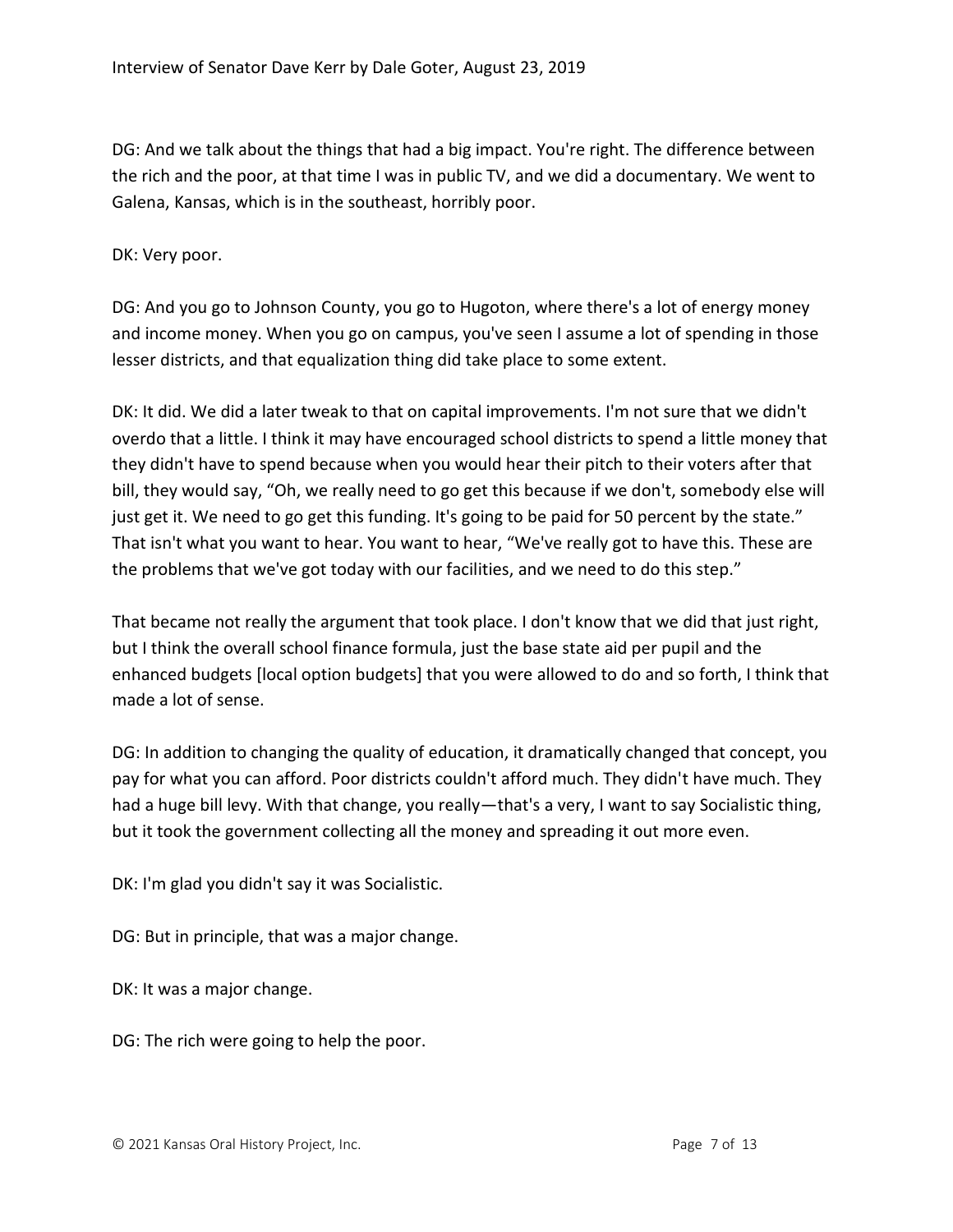DG: And we talk about the things that had a big impact. You're right. The difference between the rich and the poor, at that time I was in public TV, and we did a documentary. We went to Galena, Kansas, which is in the southeast, horribly poor.

DK: Very poor.

DG: And you go to Johnson County, you go to Hugoton, where there's a lot of energy money and income money. When you go on campus, you've seen I assume a lot of spending in those lesser districts, and that equalization thing did take place to some extent.

DK: It did. We did a later tweak to that on capital improvements. I'm not sure that we didn't overdo that a little. I think it may have encouraged school districts to spend a little money that they didn't have to spend because when you would hear their pitch to their voters after that bill, they would say, "Oh, we really need to go get this because if we don't, somebody else will just get it. We need to go get this funding. It's going to be paid for 50 percent by the state." That isn't what you want to hear. You want to hear, "We've really got to have this. These are the problems that we've got today with our facilities, and we need to do this step."

That became not really the argument that took place. I don't know that we did that just right, but I think the overall school finance formula, just the base state aid per pupil and the enhanced budgets [local option budgets] that you were allowed to do and so forth, I think that made a lot of sense.

DG: In addition to changing the quality of education, it dramatically changed that concept, you pay for what you can afford. Poor districts couldn't afford much. They didn't have much. They had a huge bill levy. With that change, you really—that's a very, I want to say Socialistic thing, but it took the government collecting all the money and spreading it out more even.

DK: I'm glad you didn't say it was Socialistic.

DG: But in principle, that was a major change.

DK: It was a major change.

DG: The rich were going to help the poor.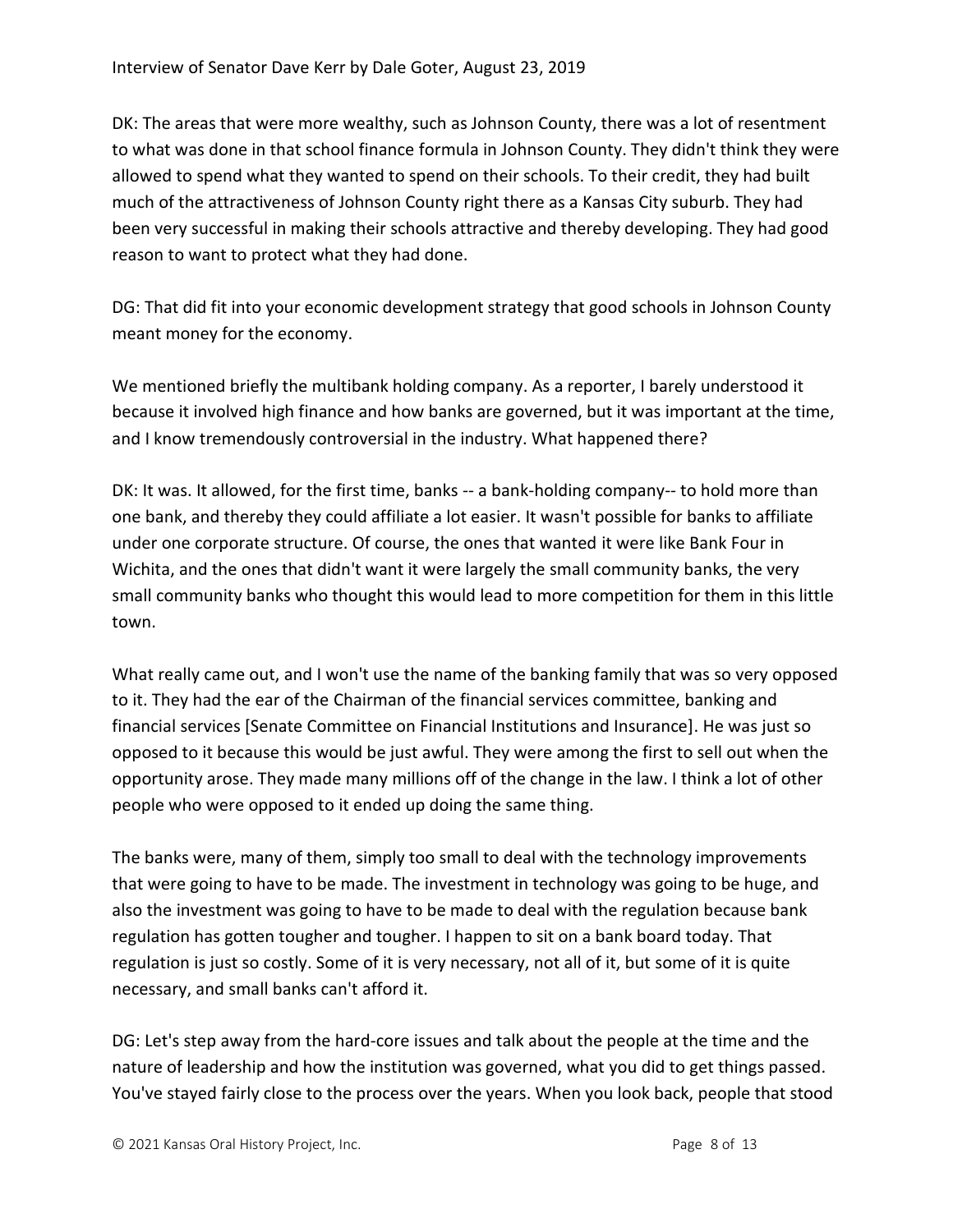DK: The areas that were more wealthy, such as Johnson County, there was a lot of resentment to what was done in that school finance formula in Johnson County. They didn't think they were allowed to spend what they wanted to spend on their schools. To their credit, they had built much of the attractiveness of Johnson County right there as a Kansas City suburb. They had been very successful in making their schools attractive and thereby developing. They had good reason to want to protect what they had done.

DG: That did fit into your economic development strategy that good schools in Johnson County meant money for the economy.

We mentioned briefly the multibank holding company. As a reporter, I barely understood it because it involved high finance and how banks are governed, but it was important at the time, and I know tremendously controversial in the industry. What happened there?

DK: It was. It allowed, for the first time, banks -- a bank-holding company-- to hold more than one bank, and thereby they could affiliate a lot easier. It wasn't possible for banks to affiliate under one corporate structure. Of course, the ones that wanted it were like Bank Four in Wichita, and the ones that didn't want it were largely the small community banks, the very small community banks who thought this would lead to more competition for them in this little town.

What really came out, and I won't use the name of the banking family that was so very opposed to it. They had the ear of the Chairman of the financial services committee, banking and financial services [Senate Committee on Financial Institutions and Insurance]. He was just so opposed to it because this would be just awful. They were among the first to sell out when the opportunity arose. They made many millions off of the change in the law. I think a lot of other people who were opposed to it ended up doing the same thing.

The banks were, many of them, simply too small to deal with the technology improvements that were going to have to be made. The investment in technology was going to be huge, and also the investment was going to have to be made to deal with the regulation because bank regulation has gotten tougher and tougher. I happen to sit on a bank board today. That regulation is just so costly. Some of it is very necessary, not all of it, but some of it is quite necessary, and small banks can't afford it.

DG: Let's step away from the hard-core issues and talk about the people at the time and the nature of leadership and how the institution was governed, what you did to get things passed. You've stayed fairly close to the process over the years. When you look back, people that stood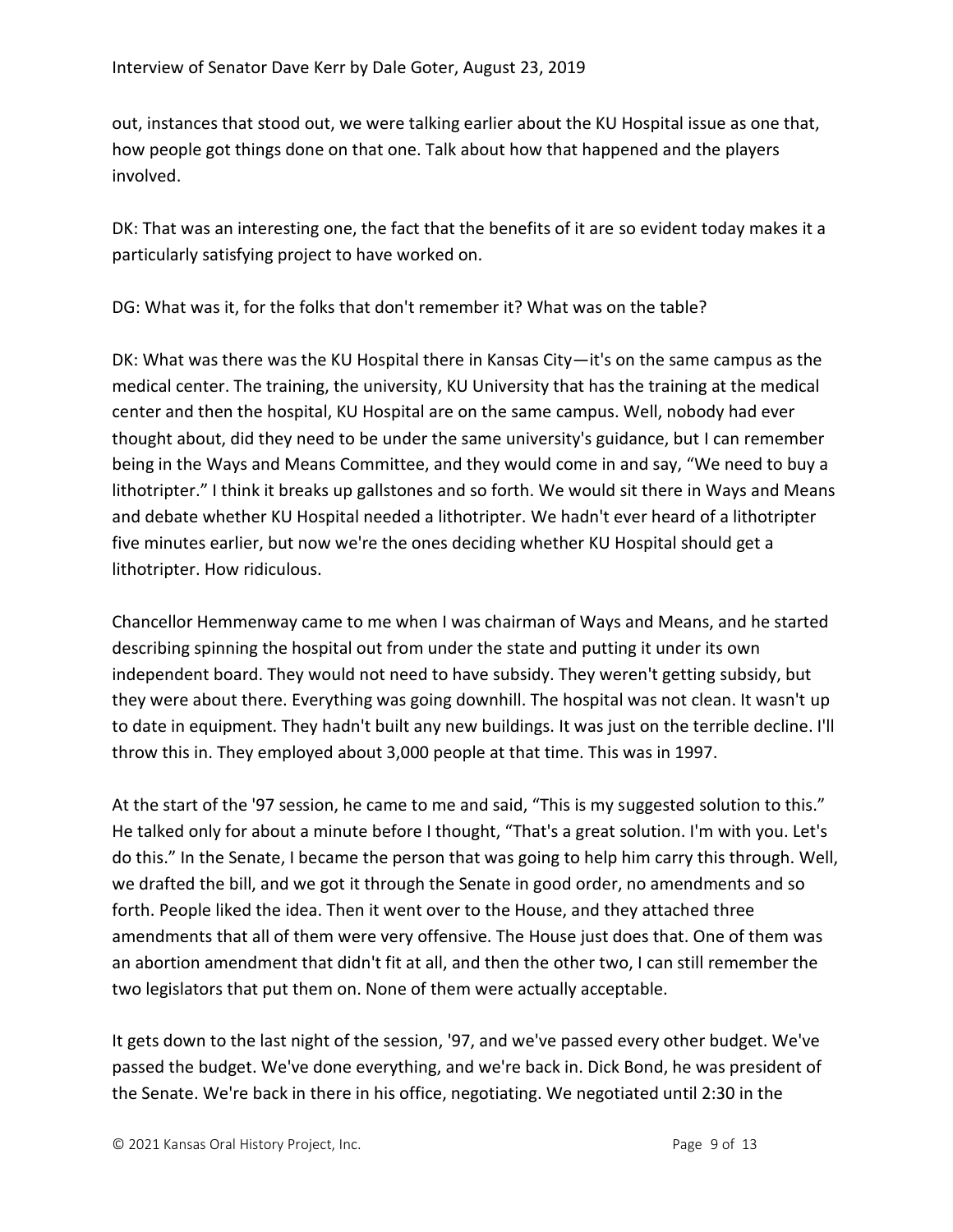out, instances that stood out, we were talking earlier about the KU Hospital issue as one that, how people got things done on that one. Talk about how that happened and the players involved.

DK: That was an interesting one, the fact that the benefits of it are so evident today makes it a particularly satisfying project to have worked on.

DG: What was it, for the folks that don't remember it? What was on the table?

DK: What was there was the KU Hospital there in Kansas City—it's on the same campus as the medical center. The training, the university, KU University that has the training at the medical center and then the hospital, KU Hospital are on the same campus. Well, nobody had ever thought about, did they need to be under the same university's guidance, but I can remember being in the Ways and Means Committee, and they would come in and say, "We need to buy a lithotripter." I think it breaks up gallstones and so forth. We would sit there in Ways and Means and debate whether KU Hospital needed a lithotripter. We hadn't ever heard of a lithotripter five minutes earlier, but now we're the ones deciding whether KU Hospital should get a lithotripter. How ridiculous.

Chancellor Hemmenway came to me when I was chairman of Ways and Means, and he started describing spinning the hospital out from under the state and putting it under its own independent board. They would not need to have subsidy. They weren't getting subsidy, but they were about there. Everything was going downhill. The hospital was not clean. It wasn't up to date in equipment. They hadn't built any new buildings. It was just on the terrible decline. I'll throw this in. They employed about 3,000 people at that time. This was in 1997.

At the start of the '97 session, he came to me and said, "This is my suggested solution to this." He talked only for about a minute before I thought, "That's a great solution. I'm with you. Let's do this." In the Senate, I became the person that was going to help him carry this through. Well, we drafted the bill, and we got it through the Senate in good order, no amendments and so forth. People liked the idea. Then it went over to the House, and they attached three amendments that all of them were very offensive. The House just does that. One of them was an abortion amendment that didn't fit at all, and then the other two, I can still remember the two legislators that put them on. None of them were actually acceptable.

It gets down to the last night of the session, '97, and we've passed every other budget. We've passed the budget. We've done everything, and we're back in. Dick Bond, he was president of the Senate. We're back in there in his office, negotiating. We negotiated until 2:30 in the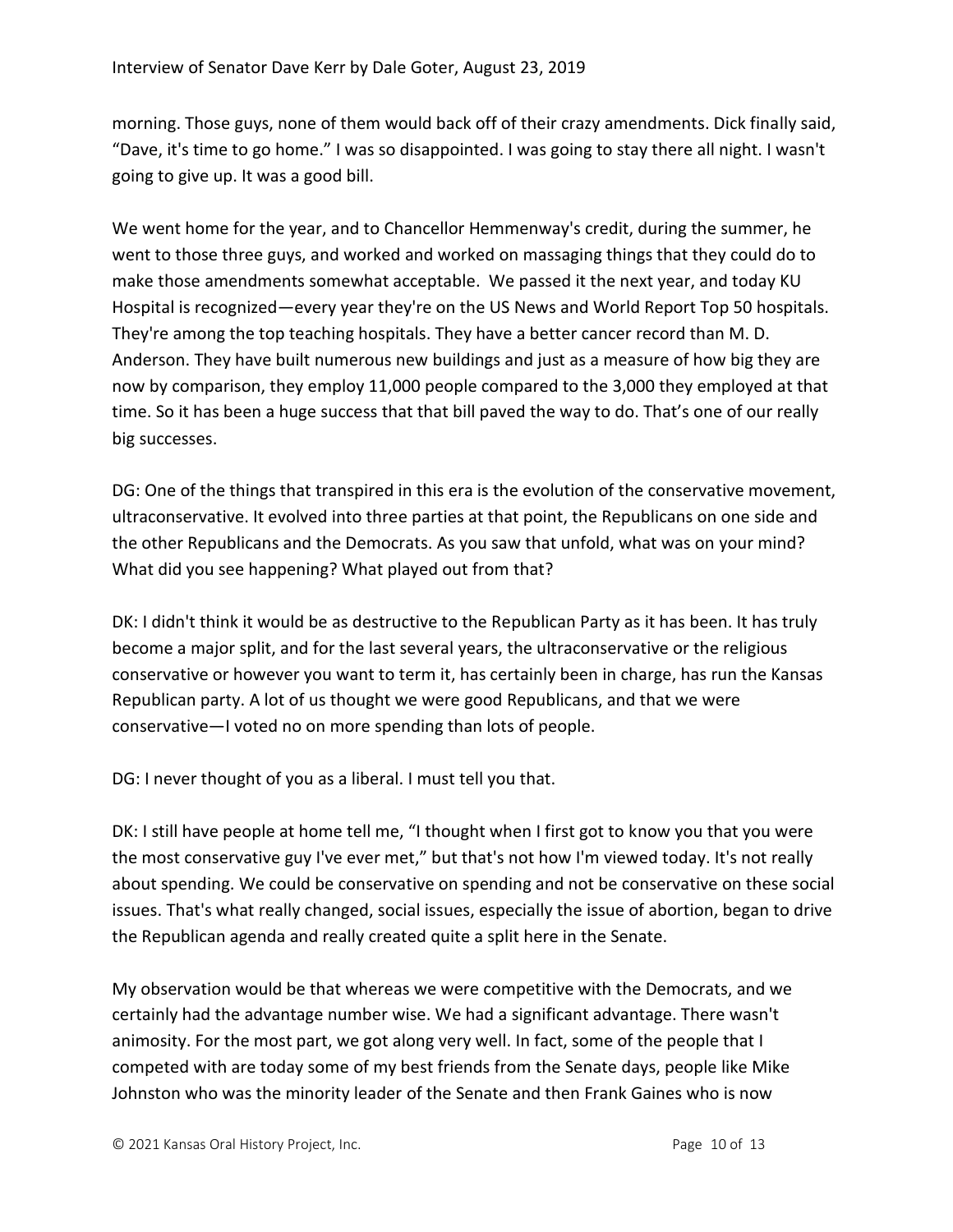morning. Those guys, none of them would back off of their crazy amendments. Dick finally said, "Dave, it's time to go home." I was so disappointed. I was going to stay there all night. I wasn't going to give up. It was a good bill.

We went home for the year, and to Chancellor Hemmenway's credit, during the summer, he went to those three guys, and worked and worked on massaging things that they could do to make those amendments somewhat acceptable. We passed it the next year, and today KU Hospital is recognized—every year they're on the US News and World Report Top 50 hospitals. They're among the top teaching hospitals. They have a better cancer record than M. D. Anderson. They have built numerous new buildings and just as a measure of how big they are now by comparison, they employ 11,000 people compared to the 3,000 they employed at that time. So it has been a huge success that that bill paved the way to do. That's one of our really big successes.

DG: One of the things that transpired in this era is the evolution of the conservative movement, ultraconservative. It evolved into three parties at that point, the Republicans on one side and the other Republicans and the Democrats. As you saw that unfold, what was on your mind? What did you see happening? What played out from that?

DK: I didn't think it would be as destructive to the Republican Party as it has been. It has truly become a major split, and for the last several years, the ultraconservative or the religious conservative or however you want to term it, has certainly been in charge, has run the Kansas Republican party. A lot of us thought we were good Republicans, and that we were conservative—I voted no on more spending than lots of people.

DG: I never thought of you as a liberal. I must tell you that.

DK: I still have people at home tell me, "I thought when I first got to know you that you were the most conservative guy I've ever met," but that's not how I'm viewed today. It's not really about spending. We could be conservative on spending and not be conservative on these social issues. That's what really changed, social issues, especially the issue of abortion, began to drive the Republican agenda and really created quite a split here in the Senate.

My observation would be that whereas we were competitive with the Democrats, and we certainly had the advantage number wise. We had a significant advantage. There wasn't animosity. For the most part, we got along very well. In fact, some of the people that I competed with are today some of my best friends from the Senate days, people like Mike Johnston who was the minority leader of the Senate and then Frank Gaines who is now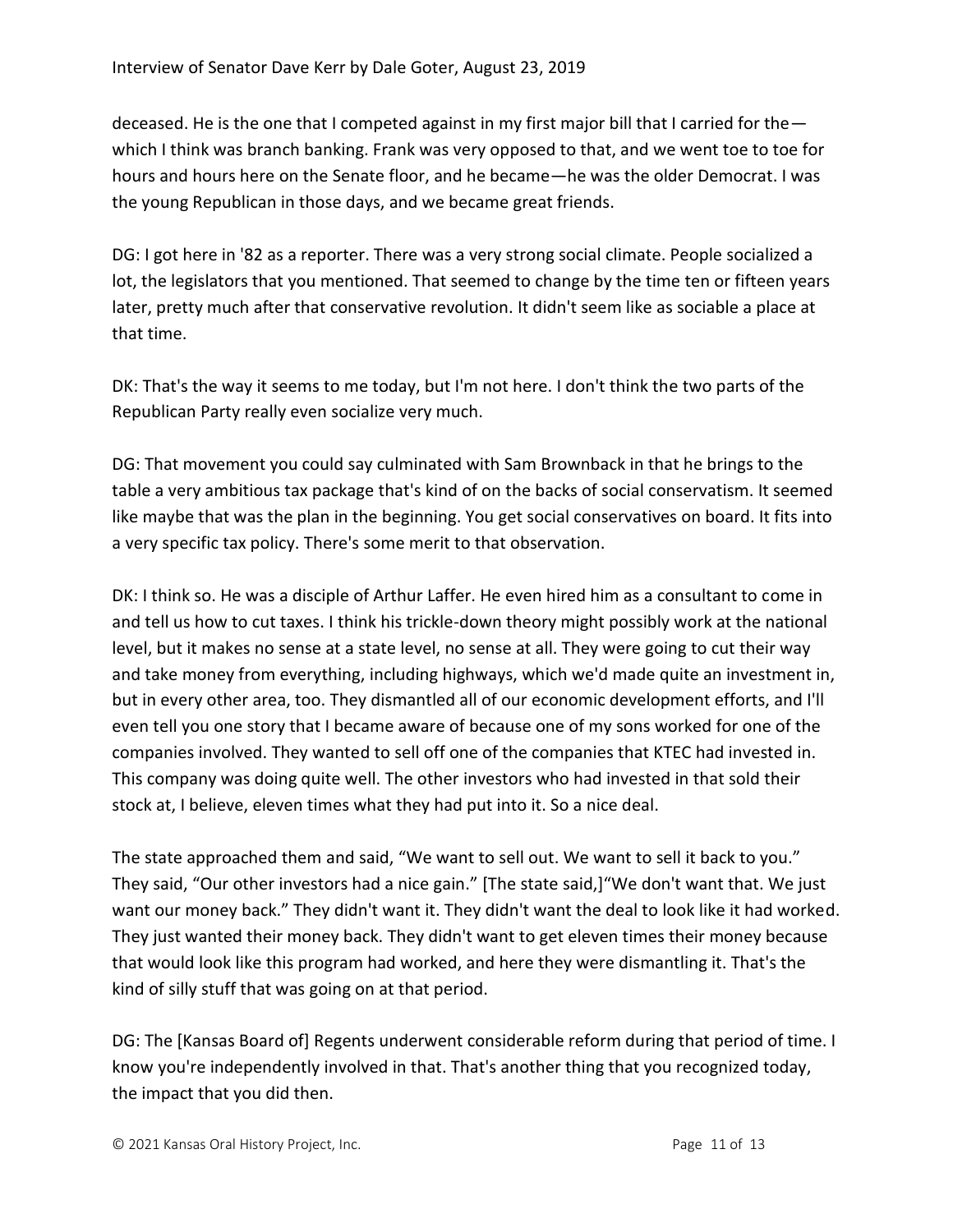deceased. He is the one that I competed against in my first major bill that I carried for the which I think was branch banking. Frank was very opposed to that, and we went toe to toe for hours and hours here on the Senate floor, and he became—he was the older Democrat. I was the young Republican in those days, and we became great friends.

DG: I got here in '82 as a reporter. There was a very strong social climate. People socialized a lot, the legislators that you mentioned. That seemed to change by the time ten or fifteen years later, pretty much after that conservative revolution. It didn't seem like as sociable a place at that time.

DK: That's the way it seems to me today, but I'm not here. I don't think the two parts of the Republican Party really even socialize very much.

DG: That movement you could say culminated with Sam Brownback in that he brings to the table a very ambitious tax package that's kind of on the backs of social conservatism. It seemed like maybe that was the plan in the beginning. You get social conservatives on board. It fits into a very specific tax policy. There's some merit to that observation.

DK: I think so. He was a disciple of Arthur Laffer. He even hired him as a consultant to come in and tell us how to cut taxes. I think his trickle-down theory might possibly work at the national level, but it makes no sense at a state level, no sense at all. They were going to cut their way and take money from everything, including highways, which we'd made quite an investment in, but in every other area, too. They dismantled all of our economic development efforts, and I'll even tell you one story that I became aware of because one of my sons worked for one of the companies involved. They wanted to sell off one of the companies that KTEC had invested in. This company was doing quite well. The other investors who had invested in that sold their stock at, I believe, eleven times what they had put into it. So a nice deal.

The state approached them and said, "We want to sell out. We want to sell it back to you." They said, "Our other investors had a nice gain." [The state said,]"We don't want that. We just want our money back." They didn't want it. They didn't want the deal to look like it had worked. They just wanted their money back. They didn't want to get eleven times their money because that would look like this program had worked, and here they were dismantling it. That's the kind of silly stuff that was going on at that period.

DG: The [Kansas Board of] Regents underwent considerable reform during that period of time. I know you're independently involved in that. That's another thing that you recognized today, the impact that you did then.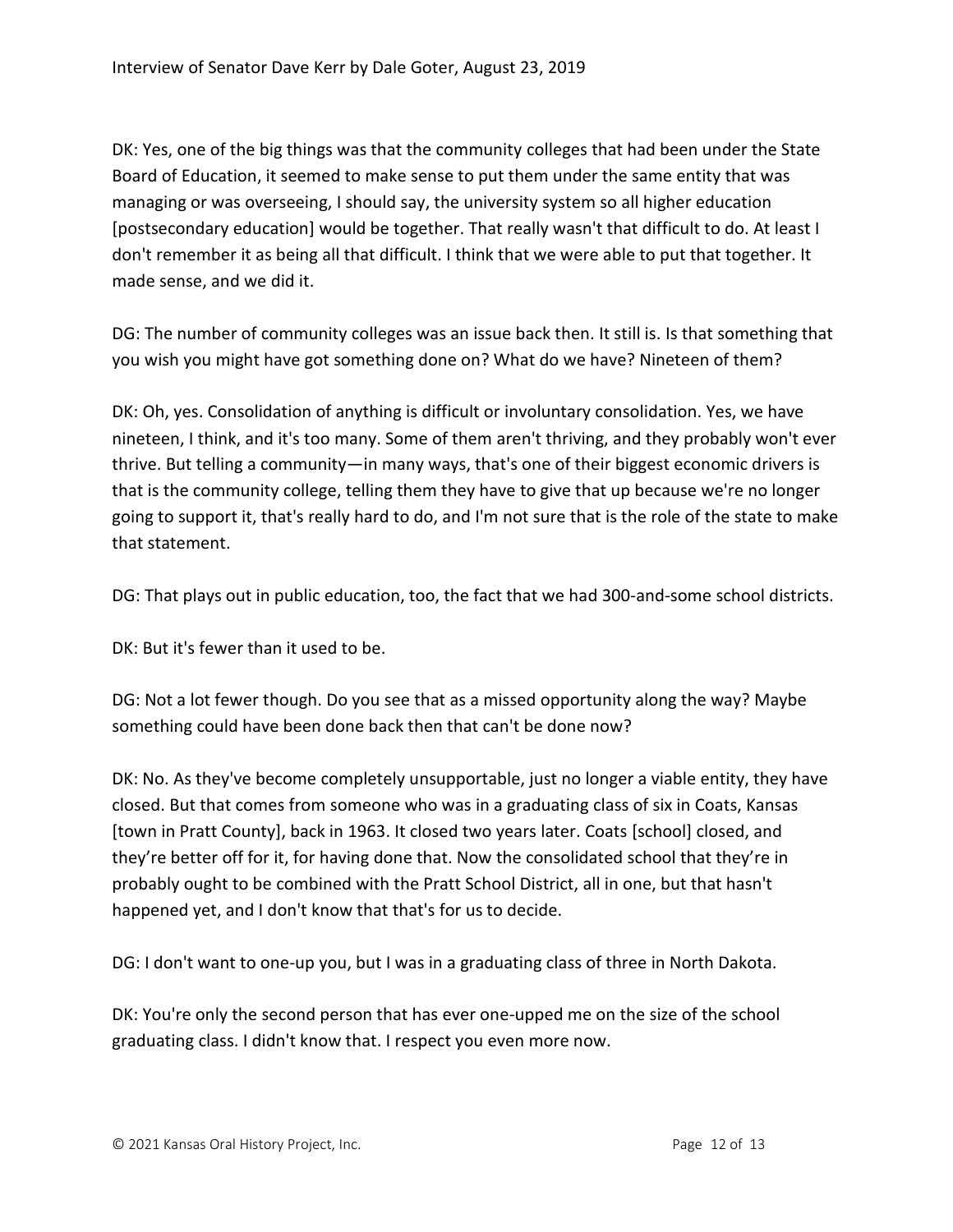DK: Yes, one of the big things was that the community colleges that had been under the State Board of Education, it seemed to make sense to put them under the same entity that was managing or was overseeing, I should say, the university system so all higher education [postsecondary education] would be together. That really wasn't that difficult to do. At least I don't remember it as being all that difficult. I think that we were able to put that together. It made sense, and we did it.

DG: The number of community colleges was an issue back then. It still is. Is that something that you wish you might have got something done on? What do we have? Nineteen of them?

DK: Oh, yes. Consolidation of anything is difficult or involuntary consolidation. Yes, we have nineteen, I think, and it's too many. Some of them aren't thriving, and they probably won't ever thrive. But telling a community—in many ways, that's one of their biggest economic drivers is that is the community college, telling them they have to give that up because we're no longer going to support it, that's really hard to do, and I'm not sure that is the role of the state to make that statement.

DG: That plays out in public education, too, the fact that we had 300-and-some school districts.

DK: But it's fewer than it used to be.

DG: Not a lot fewer though. Do you see that as a missed opportunity along the way? Maybe something could have been done back then that can't be done now?

DK: No. As they've become completely unsupportable, just no longer a viable entity, they have closed. But that comes from someone who was in a graduating class of six in Coats, Kansas [town in Pratt County], back in 1963. It closed two years later. Coats [school] closed, and they're better off for it, for having done that. Now the consolidated school that they're in probably ought to be combined with the Pratt School District, all in one, but that hasn't happened yet, and I don't know that that's for us to decide.

DG: I don't want to one-up you, but I was in a graduating class of three in North Dakota.

DK: You're only the second person that has ever one-upped me on the size of the school graduating class. I didn't know that. I respect you even more now.